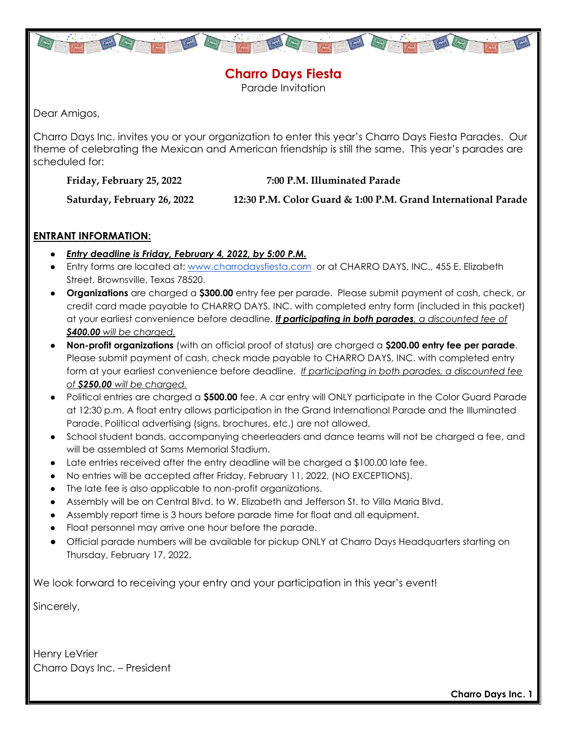

**Charro Days Fiesta** Parade Invitation

Dear Amigos,

Charro Days Inc. invites you or your organization to enter this year's Charro Days Fiesta Parades. Our theme of celebrating the Mexican and American friendship is still the same. This year's parades are scheduled for:

**Friday, February 25, 2022 7:00 P.M. Illuminated Parade**

**Saturday, February 26, 2022 12:30 P.M. Color Guard & 1:00 P.M. Grand International Parade**

### **ENTRANT INFORMATION:**

- *Entry deadline is Friday, February 4, 2022, by 5:00 P.M.*
- Entry forms are located at: [www.charrodaysfiesta.com](http://www.charrodaysfiesta.com/) or at CHARRO DAYS, INC., 455 E. Elizabeth Street, Brownsville, Texas 78520.
- **Organizations** are charged a **\$300.00** entry fee per parade. Please submit payment of cash, check, or credit card made payable to CHARRO DAYS, INC. with completed entry form (included in this packet) at your earliest convenience before deadline. *If participating in both parades, a discounted fee of \$400.00 will be charged.*
- **Non-profit organizations** (with an official proof of status) are charged a **\$200.00 entry fee per parade**. Please submit payment of cash, check made payable to CHARRO DAYS, INC. with completed entry form at your earliest convenience before deadline. *If participating in both parades, a discounted fee of \$250.00 will be charged.*
- Political entries are charged a **\$500.00** fee. A car entry will ONLY participate in the Color Guard Parade at 12:30 p.m. A float entry allows participation in the Grand International Parade and the Illuminated Parade. Political advertising (signs, brochures, etc.) are not allowed.
- School student bands, accompanying cheerleaders and dance teams will not be charged a fee, and will be assembled at Sams Memorial Stadium.
- Late entries received after the entry deadline will be charged a \$100.00 late fee.
- No entries will be accepted after Friday, February 11, 2022, (NO EXCEPTIONS).
- The late fee is also applicable to non-profit organizations.
- Assembly will be on Central Blvd. to W. Elizabeth and Jefferson St. to Villa Maria Blvd.
- Assembly report time is 3 hours before parade time for float and all equipment.
- Float personnel may arrive one hour before the parade.
- Official parade numbers will be available for pickup ONLY at Charro Days Headquarters starting on Thursday, February 17, 2022.

We look forward to receiving your entry and your participation in this year's event!

Sincerely,

Henry LeVrier Charro Days Inc. – President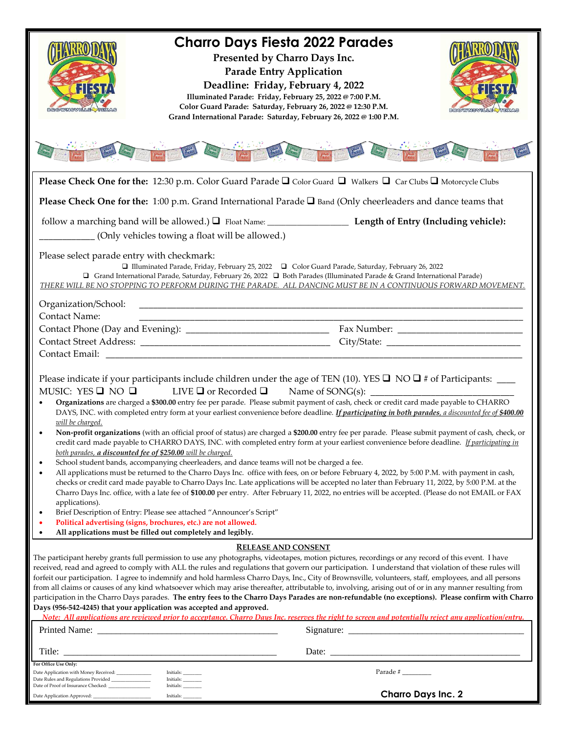| 315                                                                                                                                                                                                                                                                                                             | <b>Charro Days Fiesta 2022 Parades</b><br>Presented by Charro Days Inc.<br><b>Parade Entry Application</b><br>Deadline: Friday, February 4, 2022<br>Illuminated Parade: Friday, February 25, 2022 @ 7:00 P.M.<br>Color Guard Parade: Saturday, February 26, 2022 @ 12:30 P.M.<br>Grand International Parade: Saturday, February 26, 2022 @ 1:00 P.M. |                                                                                                                                                                                                                                                                                                                                                                                                                                                                                                                                                                                                                                                                                                                                                                                                                                                                                                                                                                                                                                                      |  |
|-----------------------------------------------------------------------------------------------------------------------------------------------------------------------------------------------------------------------------------------------------------------------------------------------------------------|------------------------------------------------------------------------------------------------------------------------------------------------------------------------------------------------------------------------------------------------------------------------------------------------------------------------------------------------------|------------------------------------------------------------------------------------------------------------------------------------------------------------------------------------------------------------------------------------------------------------------------------------------------------------------------------------------------------------------------------------------------------------------------------------------------------------------------------------------------------------------------------------------------------------------------------------------------------------------------------------------------------------------------------------------------------------------------------------------------------------------------------------------------------------------------------------------------------------------------------------------------------------------------------------------------------------------------------------------------------------------------------------------------------|--|
|                                                                                                                                                                                                                                                                                                                 |                                                                                                                                                                                                                                                                                                                                                      |                                                                                                                                                                                                                                                                                                                                                                                                                                                                                                                                                                                                                                                                                                                                                                                                                                                                                                                                                                                                                                                      |  |
|                                                                                                                                                                                                                                                                                                                 |                                                                                                                                                                                                                                                                                                                                                      | <b>Please Check One for the:</b> 12:30 p.m. Color Guard Parade $\Box$ Color Guard $\Box$ Walkers $\Box$ Car Clubs $\Box$ Motorcycle Clubs                                                                                                                                                                                                                                                                                                                                                                                                                                                                                                                                                                                                                                                                                                                                                                                                                                                                                                            |  |
|                                                                                                                                                                                                                                                                                                                 |                                                                                                                                                                                                                                                                                                                                                      | Please Check One for the: 1:00 p.m. Grand International Parade $\square$ Band (Only cheerleaders and dance teams that                                                                                                                                                                                                                                                                                                                                                                                                                                                                                                                                                                                                                                                                                                                                                                                                                                                                                                                                |  |
|                                                                                                                                                                                                                                                                                                                 |                                                                                                                                                                                                                                                                                                                                                      |                                                                                                                                                                                                                                                                                                                                                                                                                                                                                                                                                                                                                                                                                                                                                                                                                                                                                                                                                                                                                                                      |  |
|                                                                                                                                                                                                                                                                                                                 | (Only vehicles towing a float will be allowed.)                                                                                                                                                                                                                                                                                                      |                                                                                                                                                                                                                                                                                                                                                                                                                                                                                                                                                                                                                                                                                                                                                                                                                                                                                                                                                                                                                                                      |  |
| Please select parade entry with checkmark:<br>Organization/School:                                                                                                                                                                                                                                              |                                                                                                                                                                                                                                                                                                                                                      | □ Illuminated Parade, Friday, February 25, 2022 □ Color Guard Parade, Saturday, February 26, 2022<br>Grand International Parade, Saturday, February 26, 2022 $\Box$ Both Parades (Illuminated Parade & Grand International Parade)<br>THERE WILL BE NO STOPPING TO PERFORM DURING THE PARADE. ALL DANCING MUST BE IN A CONTINUOUS FORWARD MOVEMENT.                                                                                                                                                                                                                                                                                                                                                                                                                                                                                                                                                                                                                                                                                                  |  |
| <b>Contact Name:</b>                                                                                                                                                                                                                                                                                            |                                                                                                                                                                                                                                                                                                                                                      |                                                                                                                                                                                                                                                                                                                                                                                                                                                                                                                                                                                                                                                                                                                                                                                                                                                                                                                                                                                                                                                      |  |
|                                                                                                                                                                                                                                                                                                                 |                                                                                                                                                                                                                                                                                                                                                      |                                                                                                                                                                                                                                                                                                                                                                                                                                                                                                                                                                                                                                                                                                                                                                                                                                                                                                                                                                                                                                                      |  |
|                                                                                                                                                                                                                                                                                                                 |                                                                                                                                                                                                                                                                                                                                                      |                                                                                                                                                                                                                                                                                                                                                                                                                                                                                                                                                                                                                                                                                                                                                                                                                                                                                                                                                                                                                                                      |  |
| MUSIC: YES $\square$ NO $\square$<br>will be charged.<br>both parades, a discounted fee of \$250.00 will be charged.<br>$\bullet$<br>$\bullet$<br>applications).<br>$\bullet$<br>Political advertising (signs, brochures, etc.) are not allowed.<br>All applications must be filled out completely and legibly. | LIVE $\Box$ or Recorded $\Box$<br>School student bands, accompanying cheerleaders, and dance teams will not be charged a fee.<br>Brief Description of Entry: Please see attached "Announcer's Script"<br><b>RELEASE AND CONSENT</b>                                                                                                                  | Organizations are charged a \$300.00 entry fee per parade. Please submit payment of cash, check or credit card made payable to CHARRO<br>DAYS, INC. with completed entry form at your earliest convenience before deadline. If participating in both parades, a discounted fee of \$400.00<br>Non-profit organizations (with an official proof of status) are charged a \$200.00 entry fee per parade. Please submit payment of cash, check, or<br>credit card made payable to CHARRO DAYS, INC. with completed entry form at your earliest convenience before deadline. If participating in<br>All applications must be returned to the Charro Days Inc. office with fees, on or before February 4, 2022, by 5:00 P.M. with payment in cash,<br>checks or credit card made payable to Charro Days Inc. Late applications will be accepted no later than February 11, 2022, by 5:00 P.M. at the<br>Charro Days Inc. office, with a late fee of \$100.00 per entry. After February 11, 2022, no entries will be accepted. (Please do not EMAIL or FAX |  |
|                                                                                                                                                                                                                                                                                                                 |                                                                                                                                                                                                                                                                                                                                                      | The participant hereby grants full permission to use any photographs, videotapes, motion pictures, recordings or any record of this event. I have                                                                                                                                                                                                                                                                                                                                                                                                                                                                                                                                                                                                                                                                                                                                                                                                                                                                                                    |  |
| Days (956-542-4245) that your application was accepted and approved.                                                                                                                                                                                                                                            |                                                                                                                                                                                                                                                                                                                                                      | received, read and agreed to comply with ALL the rules and regulations that govern our participation. I understand that violation of these rules will<br>forfeit our participation. I agree to indemnify and hold harmless Charro Days, Inc., City of Brownsville, volunteers, staff, employees, and all persons<br>from all claims or causes of any kind whatsoever which may arise thereafter, attributable to, involving, arising out of or in any manner resulting from<br>participation in the Charro Days parades. The entry fees to the Charro Days Parades are non-refundable (no exceptions). Please confirm with Charro<br>Note: All applications are reviewed prior to acceptance. Charro Days Inc. reserves the right to screen and potentially reject any application/entry.                                                                                                                                                                                                                                                            |  |
|                                                                                                                                                                                                                                                                                                                 |                                                                                                                                                                                                                                                                                                                                                      |                                                                                                                                                                                                                                                                                                                                                                                                                                                                                                                                                                                                                                                                                                                                                                                                                                                                                                                                                                                                                                                      |  |
| Title:                                                                                                                                                                                                                                                                                                          |                                                                                                                                                                                                                                                                                                                                                      | Date:                                                                                                                                                                                                                                                                                                                                                                                                                                                                                                                                                                                                                                                                                                                                                                                                                                                                                                                                                                                                                                                |  |
| For Office Use Only:<br>Date Application with Money Received: _______________                                                                                                                                                                                                                                   | Initials:                                                                                                                                                                                                                                                                                                                                            | Parade #                                                                                                                                                                                                                                                                                                                                                                                                                                                                                                                                                                                                                                                                                                                                                                                                                                                                                                                                                                                                                                             |  |
|                                                                                                                                                                                                                                                                                                                 | Initials:<br>Initials:                                                                                                                                                                                                                                                                                                                               |                                                                                                                                                                                                                                                                                                                                                                                                                                                                                                                                                                                                                                                                                                                                                                                                                                                                                                                                                                                                                                                      |  |
|                                                                                                                                                                                                                                                                                                                 | Initials:                                                                                                                                                                                                                                                                                                                                            | <b>Charro Days Inc. 2</b>                                                                                                                                                                                                                                                                                                                                                                                                                                                                                                                                                                                                                                                                                                                                                                                                                                                                                                                                                                                                                            |  |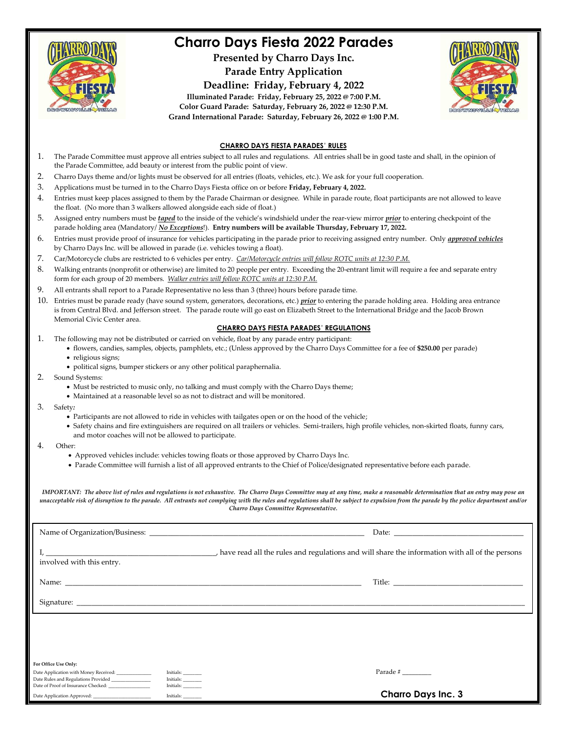

### **Charro Days Fiesta 2022 Parades**

**Presented by Charro Days Inc.**

**Parade Entry Application**

**Deadline: Friday, February 4, 2022**





#### **CHARRO DAYS FIESTA PARADES**' **RULES**

- 1. The Parade Committee must approve all entries subject to all rules and regulations. All entries shall be in good taste and shall, in the opinion of the Parade Committee, add beauty or interest from the public point of view.
- 2. Charro Days theme and/or lights must be observed for all entries (floats, vehicles, etc.). We ask for your full cooperation.
- 3. Applications must be turned in to the Charro Days Fiesta office on or before **Friday, February 4, 2022.**
- 4. Entries must keep places assigned to them by the Parade Chairman or designee. While in parade route, float participants are not allowed to leave the float. (No more than 3 walkers allowed alongside each side of float.)
- 5. Assigned entry numbers must be *taped* to the inside of the vehicle's windshield under the rear-view mirror *prior* to entering checkpoint of the parade holding area (Mandatory/ *No Exceptions*!). **Entry numbers will be available Thursday, February 17, 2022.**
- 6. Entries must provide proof of insurance for vehicles participating in the parade prior to receiving assigned entry number. Only *approved vehicles* by Charro Days Inc. will be allowed in parade (i.e. vehicles towing a float).
- 7. Car/Motorcycle clubs are restricted to 6 vehicles per entry. *Car/Motorcycle entries will follow ROTC units at 12:30 P.M.*
- 8. Walking entrants (nonprofit or otherwise) are limited to 20 people per entry. Exceeding the 20-entrant limit will require a fee and separate entry form for each group of 20 members. *Walker entries will follow ROTC units at 12:30 P.M.*
- 9. All entrants shall report to a Parade Representative no less than 3 (three) hours before parade time.
- 10. Entries must be parade ready (have sound system, generators, decorations, etc.) *prior* to entering the parade holding area. Holding area entrance is from Central Blvd. and Jefferson street. The parade route will go east on Elizabeth Street to the International Bridge and the Jacob Brown Memorial Civic Center area.

#### **CHARRO DAYS FIESTA PARADES**' **REGULATIONS**

- 1. The following may not be distributed or carried on vehicle, float by any parade entry participant:
	- flowers, candies, samples, objects, pamphlets, etc.; (Unless approved by the Charro Days Committee for a fee of **\$250.00** per parade) • religious signs;
	- political signs, bumper stickers or any other political paraphernalia.
- 2. Sound Systems:
	- Must be restricted to music only, no talking and must comply with the Charro Days theme;
	- Maintained at a reasonable level so as not to distract and will be monitored.
- 3. Safety*:*
	- Participants are not allowed to ride in vehicles with tailgates open or on the hood of the vehicle;
	- Safety chains and fire extinguishers are required on all trailers or vehicles. Semi-trailers, high profile vehicles, non-skirted floats, funny cars, and motor coaches will not be allowed to participate.
- 4. Other:
	- Approved vehicles include: vehicles towing floats or those approved by Charro Days Inc.
	- Parade Committee will furnish a list of all approved entrants to the Chief of Police/designated representative before each parade.

*IMPORTANT: The above list of rules and regulations is not exhaustive. The Charro Days Committee may at any time, make a reasonable determination that an entry may pose an unacceptable risk of disruption to the parade. All entrants not complying with the rules and regulations shall be subject to expulsion from the parade by the police department and/or Charro Days Committee Representative.*

| involved with this entry.                            |                                                                                | have read all the rules and regulations and will share the information with all of the persons |
|------------------------------------------------------|--------------------------------------------------------------------------------|------------------------------------------------------------------------------------------------|
|                                                      |                                                                                |                                                                                                |
|                                                      |                                                                                |                                                                                                |
|                                                      |                                                                                |                                                                                                |
|                                                      |                                                                                |                                                                                                |
| For Office Use Only:                                 |                                                                                |                                                                                                |
| Date Application with Money Received: ______________ | Initials:<br>$\qquad \qquad \text{Initials:}\qquad \qquad \qquad$<br>Initials: | Parade #                                                                                       |
|                                                      | Initials:                                                                      | <b>Charro Days Inc. 3</b>                                                                      |